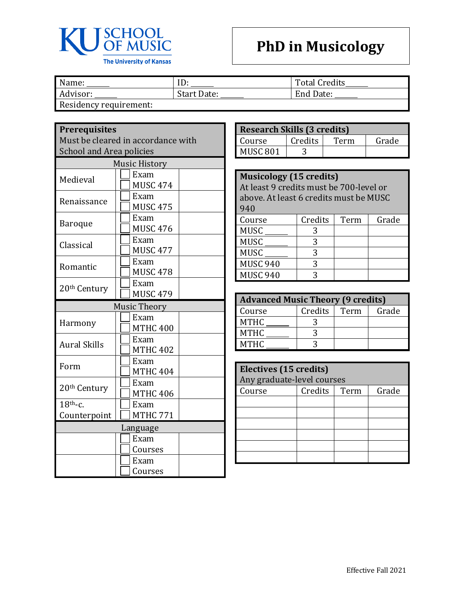

Name: <u>ID:</u> ID: Total Credits\_<br>Advisor: Start Date: The Budde: Total Credits\_ Start Date:

Residency requirement:

## **Prerequisites**

Must be cleared in accordance with School and Area policies

| <b>Music History</b>     |                     |  |  |
|--------------------------|---------------------|--|--|
| Medieval                 | Exam                |  |  |
|                          | <b>MUSC 474</b>     |  |  |
| Renaissance              | Exam                |  |  |
|                          | <b>MUSC 475</b>     |  |  |
| <b>Baroque</b>           | Exam                |  |  |
|                          | <b>MUSC 476</b>     |  |  |
| Classical                | Exam                |  |  |
|                          | <b>MUSC 477</b>     |  |  |
| Romantic                 | Exam                |  |  |
|                          | <b>MUSC 478</b>     |  |  |
| 20th Century             | Exam                |  |  |
|                          | <b>MUSC 479</b>     |  |  |
|                          | <b>Music Theory</b> |  |  |
|                          | Exam                |  |  |
| Harmony                  | <b>MTHC 400</b>     |  |  |
| <b>Aural Skills</b>      | Exam                |  |  |
|                          | <b>MTHC 402</b>     |  |  |
|                          | Exam                |  |  |
| Form                     | <b>MTHC 404</b>     |  |  |
|                          | Exam                |  |  |
| 20 <sup>th</sup> Century | <b>MTHC 406</b>     |  |  |
| $18th$ -c.               | Exam                |  |  |
| Counterpoint             | <b>MTHC 771</b>     |  |  |
| Language                 |                     |  |  |
|                          | Exam                |  |  |
|                          | Courses             |  |  |
|                          | Exam                |  |  |
|                          | Courses             |  |  |

| <b>Research Skills (3 credits)</b> |         |      |       |
|------------------------------------|---------|------|-------|
| Course                             | Credits | Term | Grade |
| <b>MUSC 801</b>                    |         |      |       |

| <b>Musicology (15 credits)</b><br>At least 9 credits must be 700-level or<br>above. At least 6 credits must be MUSC<br>940 |         |      |       |
|----------------------------------------------------------------------------------------------------------------------------|---------|------|-------|
| Course                                                                                                                     | Credits | Term | Grade |
| <b>MUSC</b>                                                                                                                | 3       |      |       |
| <b>MUSC</b>                                                                                                                | 3       |      |       |
| <b>MUSC</b>                                                                                                                | 3       |      |       |
| <b>MUSC 940</b>                                                                                                            | 3       |      |       |
| <b>MUSC 940</b><br>ζ                                                                                                       |         |      |       |

| <b>Advanced Music Theory (9 credits)</b> |         |      |       |
|------------------------------------------|---------|------|-------|
| Course                                   | Credits | Term | Grade |
| <b>MTHC</b>                              |         |      |       |
| <b>MTHC</b>                              |         |      |       |
| <b>MTHC</b>                              |         |      |       |

| Electives (15 credits)     |         |      |       |
|----------------------------|---------|------|-------|
| Any graduate-level courses |         |      |       |
| Course                     | Credits | Term | Grade |
|                            |         |      |       |
|                            |         |      |       |
|                            |         |      |       |
|                            |         |      |       |
|                            |         |      |       |
|                            |         |      |       |
|                            |         |      |       |